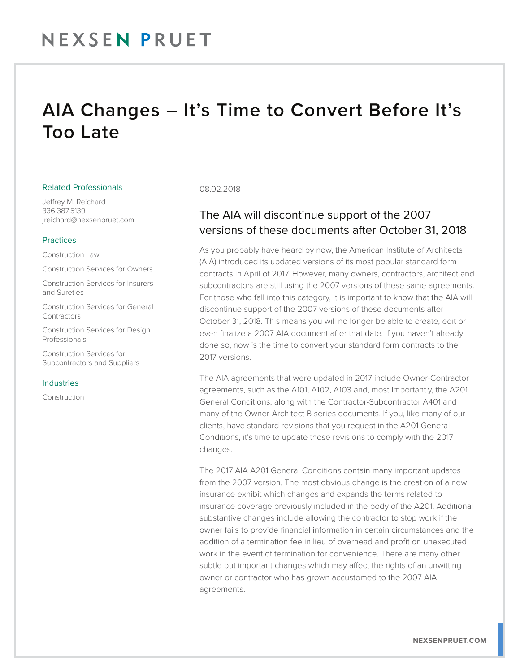## AIA Changes – It's Time to Convert Before It's Too Late

#### Related Professionals

Jeffrey M. Reichard 336.387.5139 jreichard@nexsenpruet.com

#### Practices

Construction Law

Construction Services for Owners

Construction Services for Insurers and Sureties

Construction Services for General **Contractors** 

Construction Services for Design Professionals

Construction Services for Subcontractors and Suppliers

#### Industries

Construction

#### 08.02.2018

### The AIA will discontinue support of the 2007 versions of these documents after October 31, 2018

As you probably have heard by now, the American Institute of Architects (AIA) introduced its updated versions of its most popular standard form contracts in April of 2017. However, many owners, contractors, architect and subcontractors are still using the 2007 versions of these same agreements. For those who fall into this category, it is important to know that the AIA will discontinue support of the 2007 versions of these documents after October 31, 2018. This means you will no longer be able to create, edit or even finalize a 2007 AIA document after that date. If you haven't already done so, now is the time to convert your standard form contracts to the 2017 versions.

The AIA agreements that were updated in 2017 include Owner-Contractor agreements, such as the A101, A102, A103 and, most importantly, the A201 General Conditions, along with the Contractor-Subcontractor A401 and many of the Owner-Architect B series documents. If you, like many of our clients, have standard revisions that you request in the A201 General Conditions, it's time to update those revisions to comply with the 2017 changes.

The 2017 AIA A201 General Conditions contain many important updates from the 2007 version. The most obvious change is the creation of a new insurance exhibit which changes and expands the terms related to insurance coverage previously included in the body of the A201. Additional substantive changes include allowing the contractor to stop work if the owner fails to provide financial information in certain circumstances and the addition of a termination fee in lieu of overhead and profit on unexecuted work in the event of termination for convenience. There are many other subtle but important changes which may affect the rights of an unwitting owner or contractor who has grown accustomed to the 2007 AIA agreements.